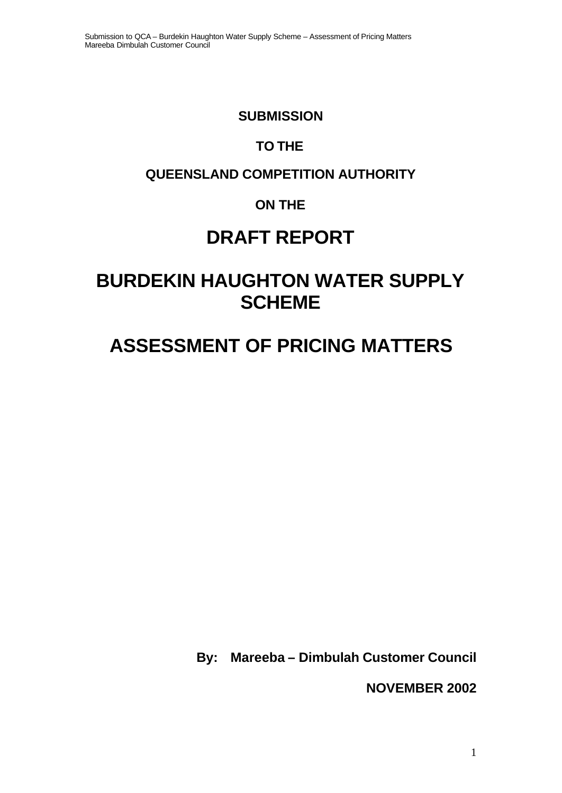#### **SUBMISSION**

# **TO THE**

# **QUEENSLAND COMPETITION AUTHORITY**

# **ON THE**

# **DRAFT REPORT**

# **BURDEKIN HAUGHTON WATER SUPPLY SCHEME**

# **ASSESSMENT OF PRICING MATTERS**

**By: Mareeba – Dimbulah Customer Council**

**NOVEMBER 2002**

1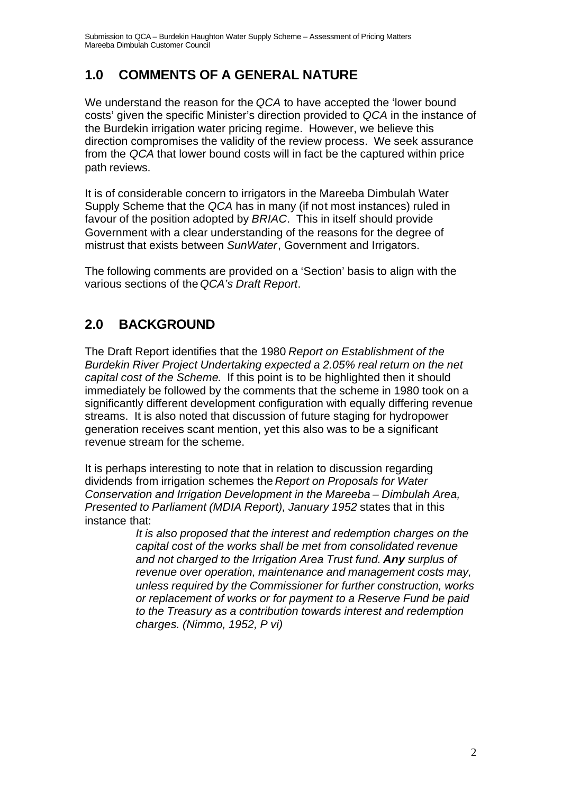## **1.0 COMMENTS OF A GENERAL NATURE**

We understand the reason for the *QCA* to have accepted the 'lower bound costs' given the specific Minister's direction provided to *QCA* in the instance of the Burdekin irrigation water pricing regime. However, we believe this direction compromises the validity of the review process. We seek assurance from the *QCA* that lower bound costs will in fact be the captured within price path reviews.

It is of considerable concern to irrigators in the Mareeba Dimbulah Water Supply Scheme that the *QCA* has in many (if not most instances) ruled in favour of the position adopted by *BRIAC*. This in itself should provide Government with a clear understanding of the reasons for the degree of mistrust that exists between *SunWater*, Government and Irrigators.

The following comments are provided on a 'Section' basis to align with the various sections of the *QCA's Draft Report*.

# **2.0 BACKGROUND**

The Draft Report identifies that the 1980 *Report on Establishment of the Burdekin River Project Undertaking expected a 2.05% real return on the net capital cost of the Scheme*. If this point is to be highlighted then it should immediately be followed by the comments that the scheme in 1980 took on a significantly different development configuration with equally differing revenue streams. It is also noted that discussion of future staging for hydropower generation receives scant mention, yet this also was to be a significant revenue stream for the scheme.

It is perhaps interesting to note that in relation to discussion regarding dividends from irrigation schemes the *Report on Proposals for Water Conservation and Irrigation Development in the Mareeba – Dimbulah Area, Presented to Parliament (MDIA Report), January 1952* states that in this instance that:

> *It is also proposed that the interest and redemption charges on the capital cost of the works shall be met from consolidated revenue and not charged to the Irrigation Area Trust fund. Any surplus of revenue over operation, maintenance and management costs may, unless required by the Commissioner for further construction, works or replacement of works or for payment to a Reserve Fund be paid to the Treasury as a contribution towards interest and redemption charges. (Nimmo, 1952, P vi)*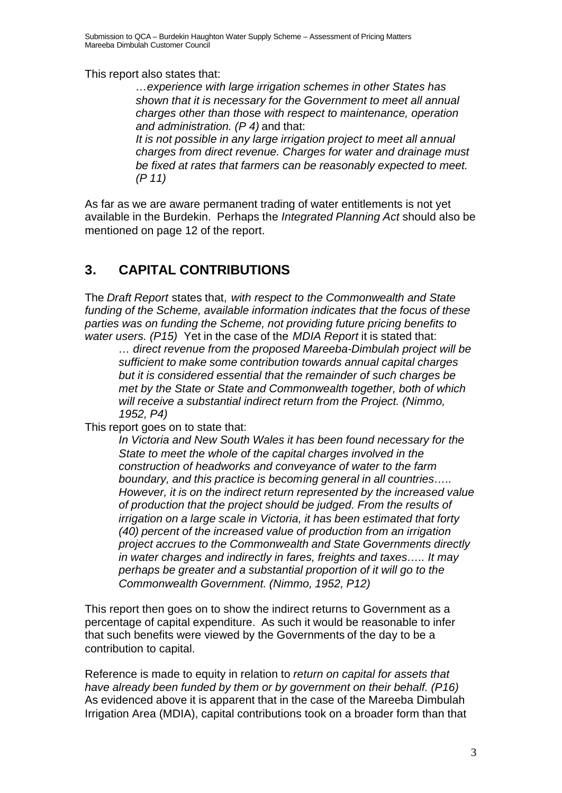This report also states that:

*…experience with large irrigation schemes in other States has shown that it is necessary for the Government to meet all annual charges other than those with respect to maintenance, operation and administration. (P 4)* and that:

*It is not possible in any large irrigation project to meet all annual charges from direct revenue. Charges for water and drainage must be fixed at rates that farmers can be reasonably expected to meet. (P 11)*

As far as we are aware permanent trading of water entitlements is not yet available in the Burdekin. Perhaps the *Integrated Planning Act* should also be mentioned on page 12 of the report.

## **3. CAPITAL CONTRIBUTIONS**

The *Draft Report* states that, *with respect to the Commonwealth and State funding of the Scheme, available information indicates that the focus of these parties was on funding the Scheme, not providing future pricing benefits to water users. (P15)* Yet in the case of the *MDIA Report* it is stated that:

*… direct revenue from the proposed Mareeba-Dimbulah project will be sufficient to make some contribution towards annual capital charges but it is considered essential that the remainder of such charges be met by the State or State and Commonwealth together, both of which will receive a substantial indirect return from the Project. (Nimmo, 1952, P4)*

This report goes on to state that:

*In Victoria and New South Wales it has been found necessary for the State to meet the whole of the capital charges involved in the construction of headworks and conveyance of water to the farm boundary, and this practice is becoming general in all countries….. However, it is on the indirect return represented by the increased value of production that the project should be judged. From the results of irrigation on a large scale in Victoria, it has been estimated that forty (40) percent of the increased value of production from an irrigation project accrues to the Commonwealth and State Governments directly in water charges and indirectly in fares, freights and taxes….. It may perhaps be greater and a substantial proportion of it will go to the Commonwealth Government. (Nimmo, 1952, P12)*

This report then goes on to show the indirect returns to Government as a percentage of capital expenditure. As such it would be reasonable to infer that such benefits were viewed by the Governments of the day to be a contribution to capital.

Reference is made to equity in relation to *return on capital for assets that have already been funded by them or by government on their behalf. (P16)* As evidenced above it is apparent that in the case of the Mareeba Dimbulah Irrigation Area (MDIA), capital contributions took on a broader form than that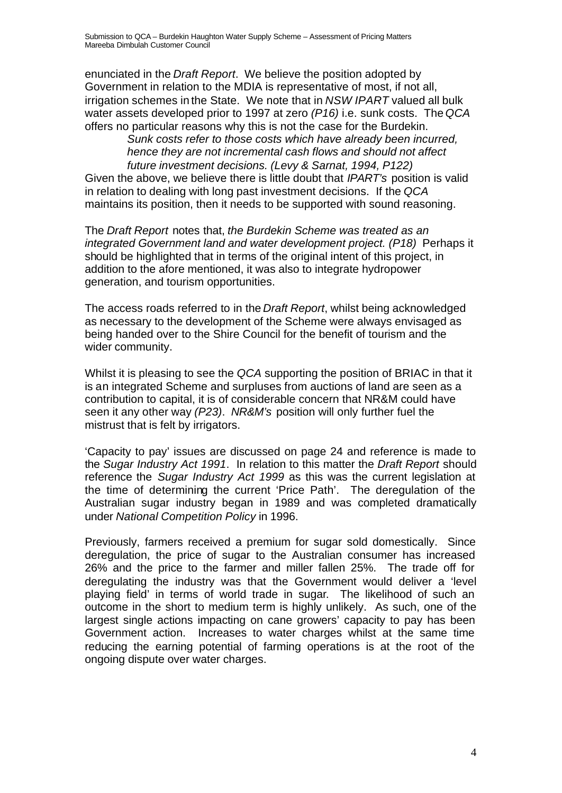enunciated in the *Draft Report*. We believe the position adopted by Government in relation to the MDIA is representative of most, if not all, irrigation schemes in the State. We note that in *NSW IPART* valued all bulk water assets developed prior to 1997 at zero *(P16)* i.e. sunk costs. The *QCA* offers no particular reasons why this is not the case for the Burdekin.

*Sunk costs refer to those costs which have already been incurred, hence they are not incremental cash flows and should not affect future investment decisions. (Levy & Sarnat, 1994, P122)*

Given the above, we believe there is little doubt that *IPART's* position is valid in relation to dealing with long past investment decisions. If the *QCA* maintains its position, then it needs to be supported with sound reasoning.

The *Draft Report* notes that, *the Burdekin Scheme was treated as an integrated Government land and water development project. (P18)* Perhaps it should be highlighted that in terms of the original intent of this project, in addition to the afore mentioned, it was also to integrate hydropower generation, and tourism opportunities.

The access roads referred to in the *Draft Report*, whilst being acknowledged as necessary to the development of the Scheme were always envisaged as being handed over to the Shire Council for the benefit of tourism and the wider community.

Whilst it is pleasing to see the *QCA* supporting the position of BRIAC in that it is an integrated Scheme and surpluses from auctions of land are seen as a contribution to capital, it is of considerable concern that NR&M could have seen it any other way *(P23)*. *NR&M's* position will only further fuel the mistrust that is felt by irrigators.

'Capacity to pay' issues are discussed on page 24 and reference is made to the *Sugar Industry Act 1991*. In relation to this matter the *Draft Report* should reference the *Sugar Industry Act 1999* as this was the current legislation at the time of determining the current 'Price Path'. The deregulation of the Australian sugar industry began in 1989 and was completed dramatically under *National Competition Policy* in 1996.

Previously, farmers received a premium for sugar sold domestically. Since deregulation, the price of sugar to the Australian consumer has increased 26% and the price to the farmer and miller fallen 25%. The trade off for deregulating the industry was that the Government would deliver a 'level playing field' in terms of world trade in sugar. The likelihood of such an outcome in the short to medium term is highly unlikely. As such, one of the largest single actions impacting on cane growers' capacity to pay has been Government action. Increases to water charges whilst at the same time reducing the earning potential of farming operations is at the root of the ongoing dispute over water charges.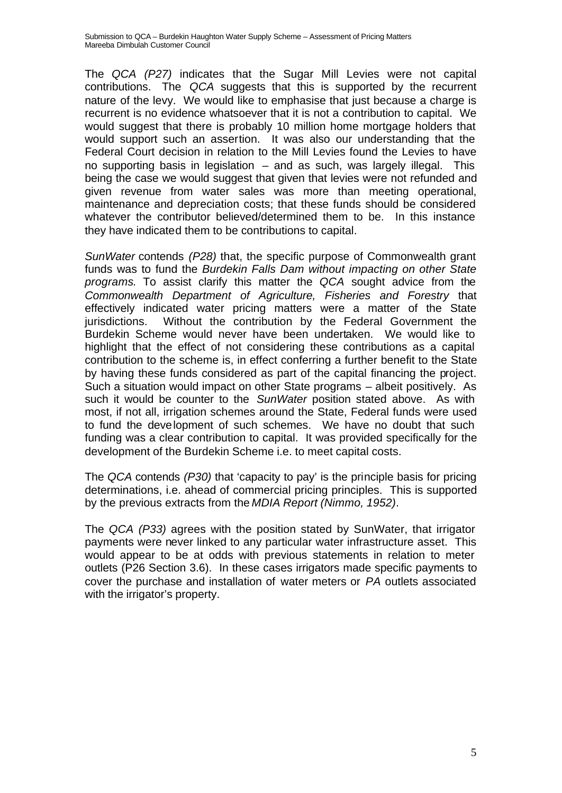The *QCA (P27)* indicates that the Sugar Mill Levies were not capital contributions. The *QCA* suggests that this is supported by the recurrent nature of the levy. We would like to emphasise that just because a charge is recurrent is no evidence whatsoever that it is not a contribution to capital. We would suggest that there is probably 10 million home mortgage holders that would support such an assertion. It was also our understanding that the Federal Court decision in relation to the Mill Levies found the Levies to have no supporting basis in legislation – and as such, was largely illegal. This being the case we would suggest that given that levies were not refunded and given revenue from water sales was more than meeting operational, maintenance and depreciation costs; that these funds should be considered whatever the contributor believed/determined them to be. In this instance they have indicated them to be contributions to capital.

*SunWater* contends *(P28)* that, the specific purpose of Commonwealth grant funds was to fund the *Burdekin Falls Dam without impacting on other State programs*. To assist clarify this matter the *QCA* sought advice from the *Commonwealth Department of Agriculture, Fisheries and Forestry* that effectively indicated water pricing matters were a matter of the State jurisdictions. Without the contribution by the Federal Government the Burdekin Scheme would never have been undertaken. We would like to highlight that the effect of not considering these contributions as a capital contribution to the scheme is, in effect conferring a further benefit to the State by having these funds considered as part of the capital financing the project. Such a situation would impact on other State programs – albeit positively. As such it would be counter to the *SunWater* position stated above. As with most, if not all, irrigation schemes around the State, Federal funds were used to fund the development of such schemes. We have no doubt that such funding was a clear contribution to capital. It was provided specifically for the development of the Burdekin Scheme i.e. to meet capital costs.

The *QCA* contends *(P30)* that 'capacity to pay' is the principle basis for pricing determinations, i.e. ahead of commercial pricing principles. This is supported by the previous extracts from the *MDIA Report (Nimmo, 1952)*.

The *QCA (P33)* agrees with the position stated by SunWater, that irrigator payments were never linked to any particular water infrastructure asset. This would appear to be at odds with previous statements in relation to meter outlets (P26 Section 3.6). In these cases irrigators made specific payments to cover the purchase and installation of water meters or *PA* outlets associated with the irrigator's property.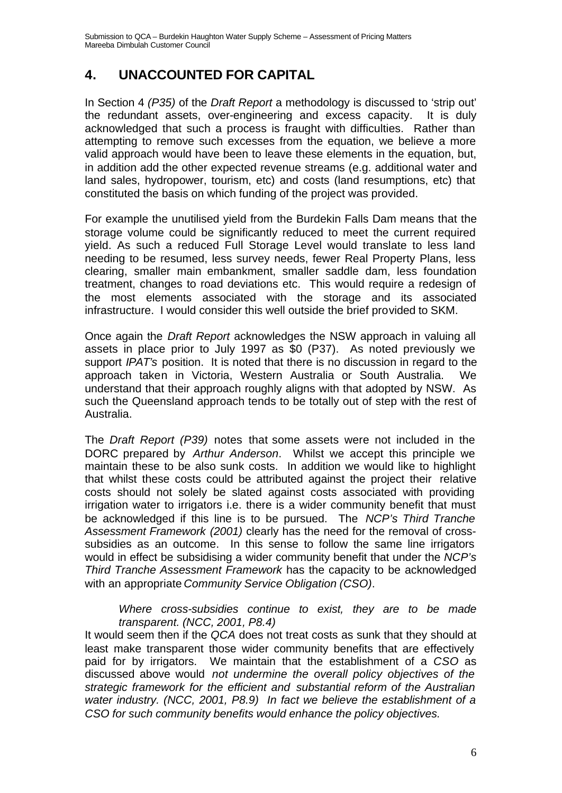#### **4. UNACCOUNTED FOR CAPITAL**

In Section 4 *(P35)* of the *Draft Report* a methodology is discussed to 'strip out' the redundant assets, over-engineering and excess capacity. It is duly acknowledged that such a process is fraught with difficulties. Rather than attempting to remove such excesses from the equation, we believe a more valid approach would have been to leave these elements in the equation, but, in addition add the other expected revenue streams (e.g. additional water and land sales, hydropower, tourism, etc) and costs (land resumptions, etc) that constituted the basis on which funding of the project was provided.

For example the unutilised yield from the Burdekin Falls Dam means that the storage volume could be significantly reduced to meet the current required yield. As such a reduced Full Storage Level would translate to less land needing to be resumed, less survey needs, fewer Real Property Plans, less clearing, smaller main embankment, smaller saddle dam, less foundation treatment, changes to road deviations etc. This would require a redesign of the most elements associated with the storage and its associated infrastructure. I would consider this well outside the brief provided to SKM.

Once again the *Draft Report* acknowledges the NSW approach in valuing all assets in place prior to July 1997 as \$0 (P37). As noted previously we support *IPAT's* position. It is noted that there is no discussion in regard to the approach taken in Victoria, Western Australia or South Australia. We understand that their approach roughly aligns with that adopted by NSW. As such the Queensland approach tends to be totally out of step with the rest of Australia.

The *Draft Report (P39)* notes that some assets were not included in the DORC prepared by *Arthur Anderson*. Whilst we accept this principle we maintain these to be also sunk costs. In addition we would like to highlight that whilst these costs could be attributed against the project their relative costs should not solely be slated against costs associated with providing irrigation water to irrigators i.e. there is a wider community benefit that must be acknowledged if this line is to be pursued. The *NCP's Third Tranche Assessment Framework (2001)* clearly has the need for the removal of crosssubsidies as an outcome. In this sense to follow the same line irrigators would in effect be subsidising a wider community benefit that under the *NCP's Third Tranche Assessment Framework* has the capacity to be acknowledged with an appropriate *Community Service Obligation (CSO)*.

*Where cross-subsidies continue to exist, they are to be made transparent. (NCC, 2001, P8.4)*

It would seem then if the *QCA* does not treat costs as sunk that they should at least make transparent those wider community benefits that are effectively paid for by irrigators. We maintain that the establishment of a *CSO* as discussed above would *not undermine the overall policy objectives of the strategic framework for the efficient and substantial reform of the Australian water industry. (NCC, 2001, P8.9) In fact we believe the establishment of a CSO for such community benefits would enhance the policy objectives.*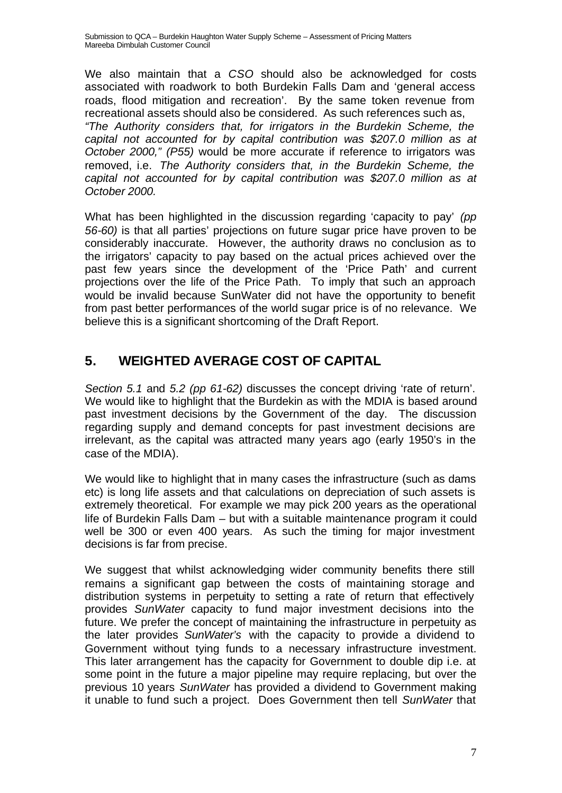We also maintain that a *CSO* should also be acknowledged for costs associated with roadwork to both Burdekin Falls Dam and 'general access roads, flood mitigation and recreation'. By the same token revenue from recreational assets should also be considered. As such references such as, *"The Authority considers that, for irrigators in the Burdekin Scheme, the capital not accounted for by capital contribution was \$207.0 million as at October 2000," (P55)* would be more accurate if reference to irrigators was removed, i.e. *The Authority considers that, in the Burdekin Scheme, the capital not accounted for by capital contribution was \$207.0 million as at October 2000.*

What has been highlighted in the discussion regarding 'capacity to pay' *(pp 56-60)* is that all parties' projections on future sugar price have proven to be considerably inaccurate. However, the authority draws no conclusion as to the irrigators' capacity to pay based on the actual prices achieved over the past few years since the development of the 'Price Path' and current projections over the life of the Price Path. To imply that such an approach would be invalid because SunWater did not have the opportunity to benefit from past better performances of the world sugar price is of no relevance. We believe this is a significant shortcoming of the Draft Report.

## **5. WEIGHTED AVERAGE COST OF CAPITAL**

*Section 5.1* and *5.2 (pp 61-62)* discusses the concept driving 'rate of return'. We would like to highlight that the Burdekin as with the MDIA is based around past investment decisions by the Government of the day. The discussion regarding supply and demand concepts for past investment decisions are irrelevant, as the capital was attracted many years ago (early 1950's in the case of the MDIA).

We would like to highlight that in many cases the infrastructure (such as dams etc) is long life assets and that calculations on depreciation of such assets is extremely theoretical. For example we may pick 200 years as the operational life of Burdekin Falls Dam – but with a suitable maintenance program it could well be 300 or even 400 years. As such the timing for major investment decisions is far from precise.

We suggest that whilst acknowledging wider community benefits there still remains a significant gap between the costs of maintaining storage and distribution systems in perpetuity to setting a rate of return that effectively provides *SunWater* capacity to fund major investment decisions into the future. We prefer the concept of maintaining the infrastructure in perpetuity as the later provides *SunWater's* with the capacity to provide a dividend to Government without tying funds to a necessary infrastructure investment. This later arrangement has the capacity for Government to double dip i.e. at some point in the future a major pipeline may require replacing, but over the previous 10 years *SunWater* has provided a dividend to Government making it unable to fund such a project. Does Government then tell *SunWater* that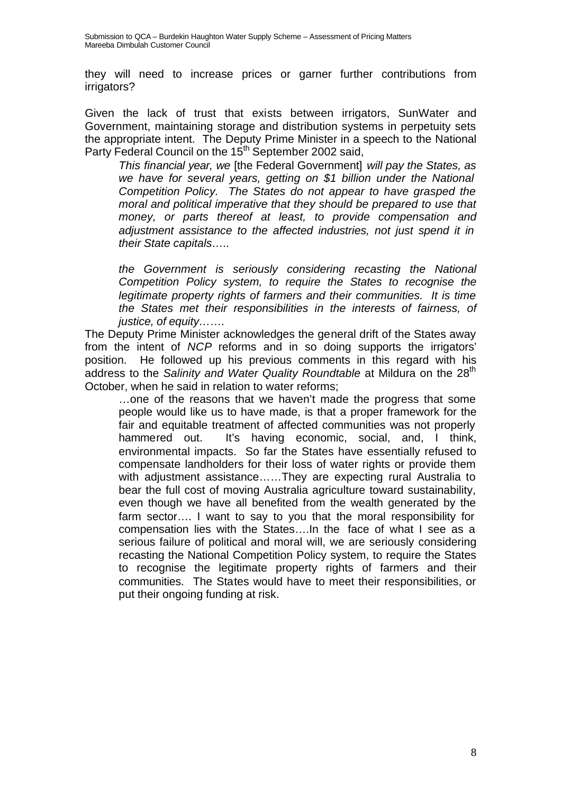they will need to increase prices or garner further contributions from irrigators?

Given the lack of trust that exists between irrigators, SunWater and Government, maintaining storage and distribution systems in perpetuity sets the appropriate intent. The Deputy Prime Minister in a speech to the National Party Federal Council on the 15<sup>th</sup> September 2002 said,

*This financial year, we* [the Federal Government] *will pay the States, as we have for several years, getting on \$1 billion under the National Competition Policy. The States do not appear to have grasped the moral and political imperative that they should be prepared to use that money, or parts thereof at least, to provide compensation and adjustment assistance to the affected industries, not just spend it in their State capitals…..*

*the Government is seriously considering recasting the National Competition Policy system, to require the States to recognise the legitimate property rights of farmers and their communities. It is time the States met their responsibilities in the interests of fairness, of justice, of equity…….*

The Deputy Prime Minister acknowledges the general drift of the States away from the intent of *NCP* reforms and in so doing supports the irrigators' position. He followed up his previous comments in this regard with his address to the *Salinity and Water Quality Roundtable* at Mildura on the 28<sup>th</sup> October, when he said in relation to water reforms;

…one of the reasons that we haven't made the progress that some people would like us to have made, is that a proper framework for the fair and equitable treatment of affected communities was not properly hammered out. It's having economic, social, and, I think, environmental impacts. So far the States have essentially refused to compensate landholders for their loss of water rights or provide them with adjustment assistance……They are expecting rural Australia to bear the full cost of moving Australia agriculture toward sustainability, even though we have all benefited from the wealth generated by the farm sector…. I want to say to you that the moral responsibility for compensation lies with the States….In the face of what I see as a serious failure of political and moral will, we are seriously considering recasting the National Competition Policy system, to require the States to recognise the legitimate property rights of farmers and their communities. The States would have to meet their responsibilities, or put their ongoing funding at risk.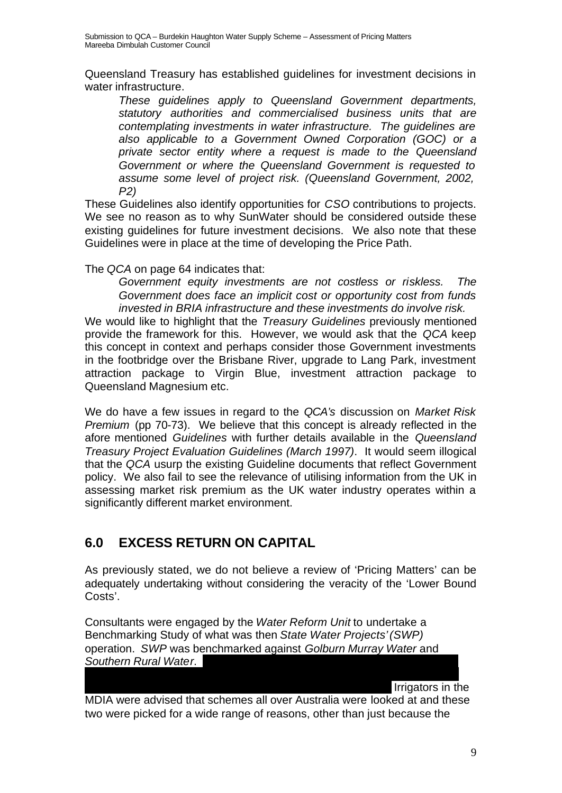Queensland Treasury has established guidelines for investment decisions in water infrastructure.

*These guidelines apply to Queensland Government departments, statutory authorities and commercialised business units that are contemplating investments in water infrastructure. The guidelines are also applicable to a Government Owned Corporation (GOC) or a private sector entity where a request is made to the Queensland Government or where the Queensland Government is requested to assume some level of project risk. (Queensland Government, 2002, P2)*

These Guidelines also identify opportunities for *CSO* contributions to projects. We see no reason as to why SunWater should be considered outside these existing guidelines for future investment decisions. We also note that these Guidelines were in place at the time of developing the Price Path.

The *QCA* on page 64 indicates that:

*Government equity investments are not costless or riskless. The Government does face an implicit cost or opportunity cost from funds invested in BRIA infrastructure and these investments do involve risk.*

We would like to highlight that the *Treasury Guidelines* previously mentioned provide the framework for this. However, we would ask that the *QCA* keep this concept in context and perhaps consider those Government investments in the footbridge over the Brisbane River, upgrade to Lang Park, investment attraction package to Virgin Blue, investment attraction package to Queensland Magnesium etc.

We do have a few issues in regard to the *QCA's* discussion on *Market Risk Premium* (pp 70-73). We believe that this concept is already reflected in the afore mentioned *Guidelines* with further details available in the *Queensland Treasury Project Evaluation Guidelines (March 1997)*. It would seem illogical that the *QCA* usurp the existing Guideline documents that reflect Government policy. We also fail to see the relevance of utilising information from the UK in assessing market risk premium as the UK water industry operates within a significantly different market environment.

## **6.0 EXCESS RETURN ON CAPITAL**

As previously stated, we do not believe a review of 'Pricing Matters' can be adequately undertaking without considering the veracity of the 'Lower Bound Costs'.

Consultants were engaged by the *Water Reform Unit* to undertake a Benchmarking Study of what was then *State Water Projects'(SWP)* operation. *SWP* was benchmarked against *Golburn Murray Water* and *Southern Rural Water*.

Irrigators in the

MDIA were advised that schemes all over Australia were looked at and these two were picked for a wide range of reasons, other than just because the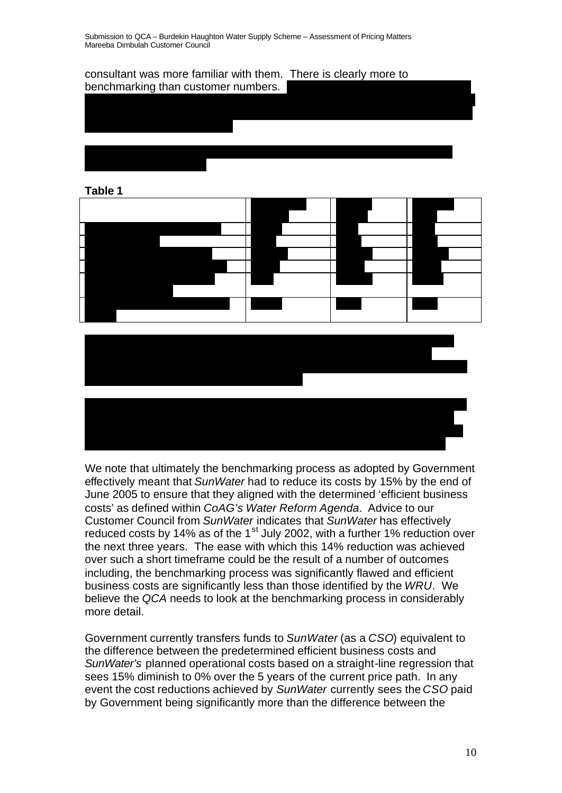

#### **Table 1**







We note that ultimately the benchmarking process as adopted by Government effectively meant that *SunWater* had to reduce its costs by 15% by the end of June 2005 to ensure that they aligned with the determined 'efficient business costs' as defined within *CoAG's Water Reform Agenda*. Advice to our Customer Council from *SunWater* indicates that *SunWater* has effectively reduced costs by 14% as of the 1<sup>st</sup> July 2002, with a further 1% reduction over the next three years. The ease with which this 14% reduction was achieved over such a short timeframe could be the result of a number of outcomes including, the benchmarking process was significantly flawed and efficient business costs are significantly less than those identified by the *WRU*. We believe the *QCA* needs to look at the benchmarking process in considerably more detail.

Government currently transfers funds to *SunWater* (as a *CSO*) equivalent to the difference between the predetermined efficient business costs and *SunWater's* planned operational costs based on a straight-line regression that sees 15% diminish to 0% over the 5 years of the current price path. In any event the cost reductions achieved by *SunWater* currently sees the *CSO* paid by Government being significantly more than the difference between the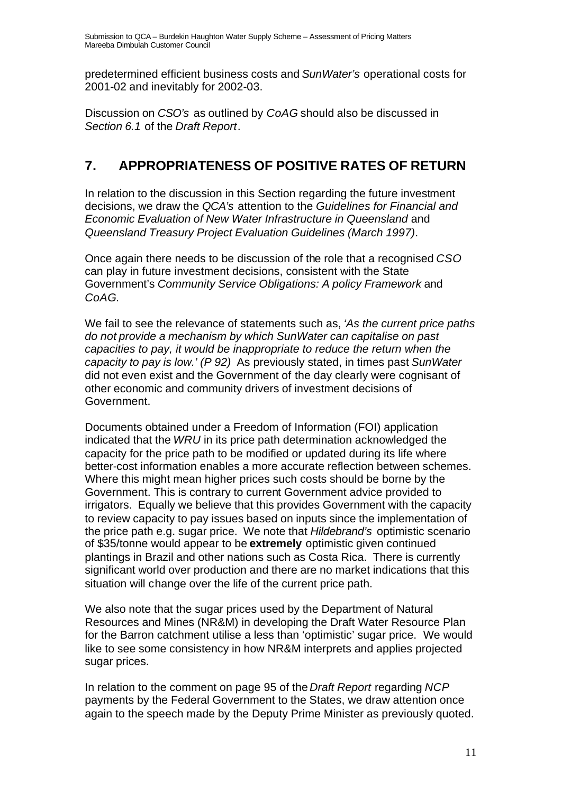predetermined efficient business costs and *SunWater's* operational costs for 2001-02 and inevitably for 2002-03.

Discussion on *CSO's* as outlined by *CoAG* should also be discussed in *Section 6.1* of the *Draft Report*.

# **7. APPROPRIATENESS OF POSITIVE RATES OF RETURN**

In relation to the discussion in this Section regarding the future investment decisions, we draw the *QCA's* attention to the *Guidelines for Financial and Economic Evaluation of New Water Infrastructure in Queensland* and *Queensland Treasury Project Evaluation Guidelines (March 1997)*.

Once again there needs to be discussion of the role that a recognised *CSO* can play in future investment decisions, consistent with the State Government's *Community Service Obligations: A policy Framework* and *CoAG*.

We fail to see the relevance of statements such as, *'As the current price paths do not provide a mechanism by which SunWater can capitalise on past capacities to pay, it would be inappropriate to reduce the return when the capacity to pay is low.' (P 92)* As previously stated, in times past *SunWater* did not even exist and the Government of the day clearly were cognisant of other economic and community drivers of investment decisions of Government.

Documents obtained under a Freedom of Information (FOI) application indicated that the *WRU* in its price path determination acknowledged the capacity for the price path to be modified or updated during its life where better-cost information enables a more accurate reflection between schemes. Where this might mean higher prices such costs should be borne by the Government. This is contrary to current Government advice provided to irrigators. Equally we believe that this provides Government with the capacity to review capacity to pay issues based on inputs since the implementation of the price path e.g. sugar price. We note that *Hildebrand's* optimistic scenario of \$35/tonne would appear to be **extremely** optimistic given continued plantings in Brazil and other nations such as Costa Rica. There is currently significant world over production and there are no market indications that this situation will change over the life of the current price path.

We also note that the sugar prices used by the Department of Natural Resources and Mines (NR&M) in developing the Draft Water Resource Plan for the Barron catchment utilise a less than 'optimistic' sugar price. We would like to see some consistency in how NR&M interprets and applies projected sugar prices.

In relation to the comment on page 95 of the *Draft Report* regarding *NCP* payments by the Federal Government to the States, we draw attention once again to the speech made by the Deputy Prime Minister as previously quoted.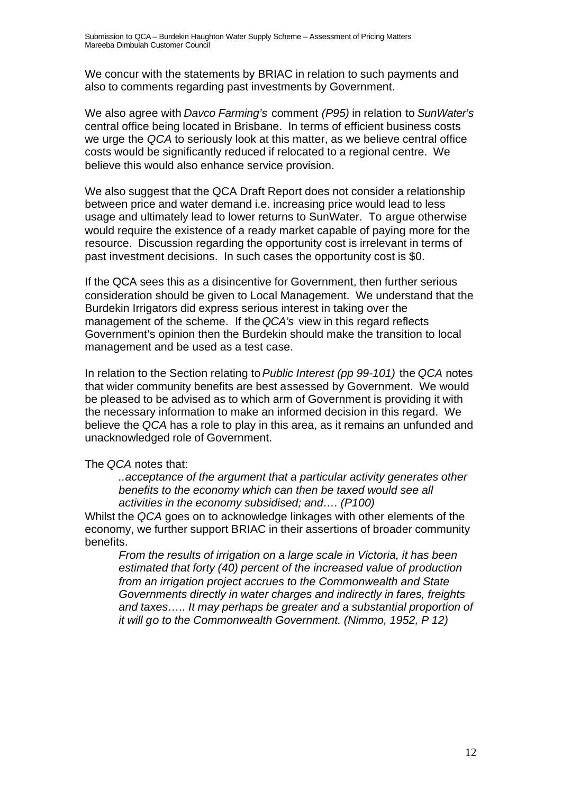We concur with the statements by BRIAC in relation to such payments and also to comments regarding past investments by Government.

We also agree with *Davco Farming's* comment *(P95)* in relation to *SunWater's* central office being located in Brisbane. In terms of efficient business costs we urge the *QCA* to seriously look at this matter, as we believe central office costs would be significantly reduced if relocated to a regional centre. We believe this would also enhance service provision.

We also suggest that the QCA Draft Report does not consider a relationship between price and water demand i.e. increasing price would lead to less usage and ultimately lead to lower returns to SunWater. To argue otherwise would require the existence of a ready market capable of paying more for the resource. Discussion regarding the opportunity cost is irrelevant in terms of past investment decisions. In such cases the opportunity cost is \$0.

If the QCA sees this as a disincentive for Government, then further serious consideration should be given to Local Management. We understand that the Burdekin Irrigators did express serious interest in taking over the management of the scheme. If the *QCA's* view in this regard reflects Government's opinion then the Burdekin should make the transition to local management and be used as a test case.

In relation to the Section relating to *Public Interest (pp 99-101)* the *QCA* notes that wider community benefits are best assessed by Government. We would be pleased to be advised as to which arm of Government is providing it with the necessary information to make an informed decision in this regard. We believe the *QCA* has a role to play in this area, as it remains an unfunded and unacknowledged role of Government.

#### The *QCA* notes that:

*..acceptance of the argument that a particular activity generates other benefits to the economy which can then be taxed would see all activities in the economy subsidised; and…. (P100)*

Whilst the *QCA* goes on to acknowledge linkages with other elements of the economy, we further support BRIAC in their assertions of broader community benefits.

*From the results of irrigation on a large scale in Victoria, it has been estimated that forty (40) percent of the increased value of production from an irrigation project accrues to the Commonwealth and State Governments directly in water charges and indirectly in fares, freights and taxes….. It may perhaps be greater and a substantial proportion of it will go to the Commonwealth Government. (Nimmo, 1952, P 12)*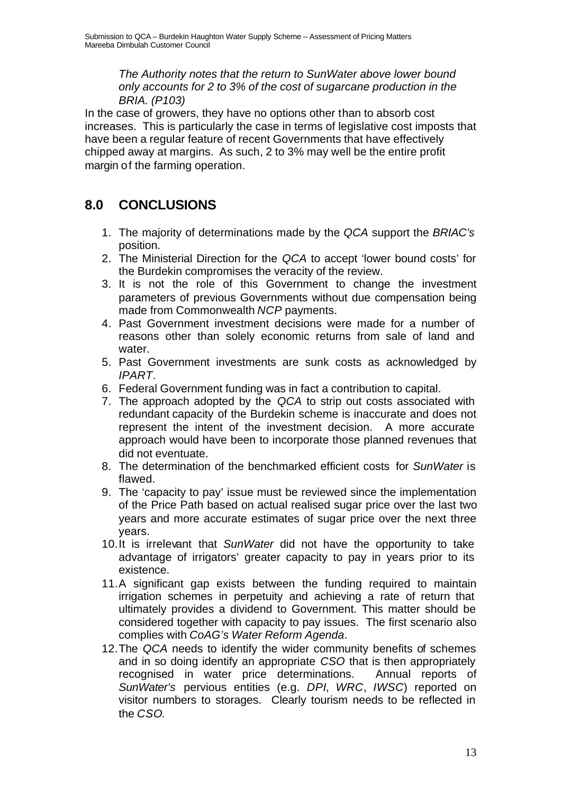*The Authority notes that the return to SunWater above lower bound only accounts for 2 to 3% of the cost of sugarcane production in the BRIA. (P103)*

In the case of growers, they have no options other than to absorb cost increases. This is particularly the case in terms of legislative cost imposts that have been a regular feature of recent Governments that have effectively chipped away at margins. As such, 2 to 3% may well be the entire profit margin of the farming operation.

## **8.0 CONCLUSIONS**

- 1. The majority of determinations made by the *QCA* support the *BRIAC's* position.
- 2. The Ministerial Direction for the *QCA* to accept 'lower bound costs' for the Burdekin compromises the veracity of the review.
- 3. It is not the role of this Government to change the investment parameters of previous Governments without due compensation being made from Commonwealth *NCP* payments.
- 4. Past Government investment decisions were made for a number of reasons other than solely economic returns from sale of land and water.
- 5. Past Government investments are sunk costs as acknowledged by *IPART*.
- 6. Federal Government funding was in fact a contribution to capital.
- 7. The approach adopted by the *QCA* to strip out costs associated with redundant capacity of the Burdekin scheme is inaccurate and does not represent the intent of the investment decision. A more accurate approach would have been to incorporate those planned revenues that did not eventuate.
- 8. The determination of the benchmarked efficient costs for *SunWater* is flawed.
- 9. The 'capacity to pay' issue must be reviewed since the implementation of the Price Path based on actual realised sugar price over the last two years and more accurate estimates of sugar price over the next three years.
- 10.It is irrelevant that *SunWater* did not have the opportunity to take advantage of irrigators' greater capacity to pay in years prior to its existence.
- 11.A significant gap exists between the funding required to maintain irrigation schemes in perpetuity and achieving a rate of return that ultimately provides a dividend to Government. This matter should be considered together with capacity to pay issues. The first scenario also complies with *CoAG's Water Reform Agenda*.
- 12.The *QCA* needs to identify the wider community benefits of schemes and in so doing identify an appropriate *CSO* that is then appropriately recognised in water price determinations. Annual reports of *SunWater's* pervious entities (e.g. *DPI*, *WRC*, *IWSC*) reported on visitor numbers to storages. Clearly tourism needs to be reflected in the *CSO*.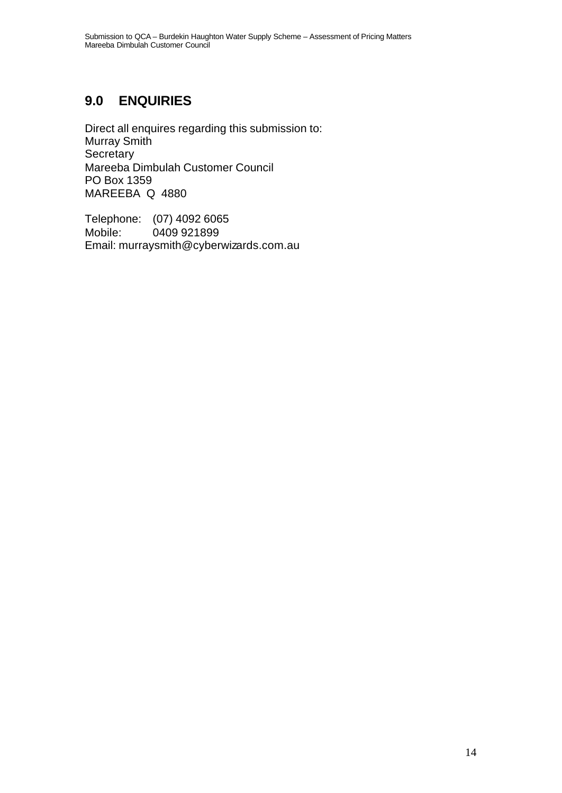## **9.0 ENQUIRIES**

Direct all enquires regarding this submission to: Murray Smith **Secretary** Mareeba Dimbulah Customer Council PO Box 1359 MAREEBA Q 4880

Telephone: (07) 4092 6065 Mobile: 0409 921899 Email: murraysmith@cyberwizards.com.au